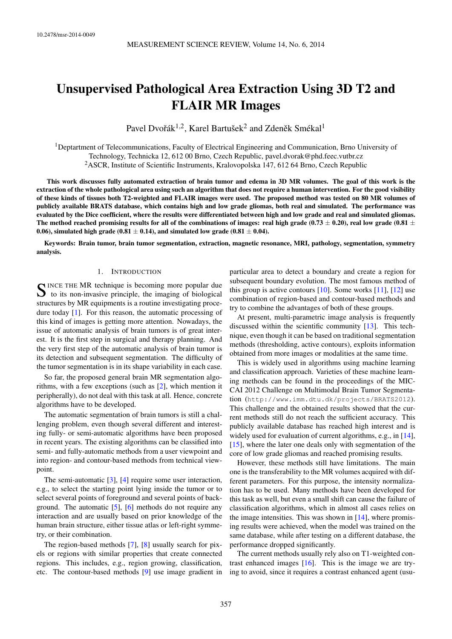# Unsupervised Pathological Area Extraction Using 3D T2 and FLAIR MR Images

Pavel Dvořák $^{1,2}$ , Karel Bartušek $^2$  and Zdeněk Smékal<sup>1</sup>

<sup>1</sup>Deptartment of Telecommunications, Faculty of Electrical Engineering and Communication, Brno University of Technology, Technicka 12, 612 00 Brno, Czech Republic, [pavel.dvorak@phd.feec.vutbr.cz](mailto:pavel.dvorak@phd.feec.vutbr.cz) <sup>2</sup>ASCR, Institute of Scientific Instruments, Kralovopolska 147, 612 64 Brno, Czech Republic

This work discusses fully automated extraction of brain tumor and edema in 3D MR volumes. The goal of this work is the extraction of the whole pathological area using such an algorithm that does not require a human intervention. For the good visibility of these kinds of tissues both T2-weighted and FLAIR images were used. The proposed method was tested on 80 MR volumes of publicly available BRATS database, which contains high and low grade gliomas, both real and simulated. The performance was evaluated by the Dice coefficient, where the results were differentiated between high and low grade and real and simulated gliomas. The method reached promising results for all of the combinations of images: real high grade (0.73  $\pm$  0.20), real low grade (0.81  $\pm$ 0.06), simulated high grade (0.81  $\pm$  0.14), and simulated low grade (0.81  $\pm$  0.04).

Keywords: Brain tumor, brain tumor segmentation, extraction, magnetic resonance, MRI, pathology, segmentation, symmetry analysis.

## 1. INTRODUCTION

SINCE THE MR technique is becoming more popular due<br>to its non-invasive principle, the imaging of biological to its non-invasive principle, the imaging of biological structures by MR equipments is a routine investigating procedure today [\[1\]](#page-6-0). For this reason, the automatic processing of this kind of images is getting more attention. Nowadays, the issue of automatic analysis of brain tumors is of great interest. It is the first step in surgical and therapy planning. And the very first step of the automatic analysis of brain tumor is its detection and subsequent segmentation. The difficulty of the tumor segmentation is in its shape variability in each case.

So far, the proposed general brain MR segmentation algorithms, with a few exceptions (such as [\[2\]](#page-6-1), which mention it peripherally), do not deal with this task at all. Hence, concrete algorithms have to be developed.

The automatic segmentation of brain tumors is still a challenging problem, even though several different and interesting fully- or semi-automatic algorithms have been proposed in recent years. The existing algorithms can be classified into semi- and fully-automatic methods from a user viewpoint and into region- and contour-based methods from technical viewpoint.

The semi-automatic [\[3\]](#page-6-2), [\[4\]](#page-6-3) require some user interaction, e.g., to select the starting point lying inside the tumor or to select several points of foreground and several points of background. The automatic [\[5\]](#page-6-4), [\[6\]](#page-6-5) methods do not require any interaction and are usually based on prior knowledge of the human brain structure, either tissue atlas or left-right symmetry, or their combination.

The region-based methods [\[7\]](#page-6-6), [\[8\]](#page-6-7) usually search for pixels or regions with similar properties that create connected regions. This includes, e.g., region growing, classification, etc. The contour-based methods [\[9\]](#page-6-8) use image gradient in particular area to detect a boundary and create a region for subsequent boundary evolution. The most famous method of this group is active contours  $[10]$ . Some works  $[11]$ ,  $[12]$  use combination of region-based and contour-based methods and try to combine the advantages of both of these groups.

At present, multi-parametric image analysis is frequently discussed within the scientific community [\[13\]](#page-6-12). This technique, even though it can be based on traditional segmentation methods (thresholding, active contours), exploits information obtained from more images or modalities at the same time.

This is widely used in algorithms using machine learning and classification approach. Varieties of these machine learning methods can be found in the proceedings of the MIC-CAI 2012 Challenge on Multimodal Brain Tumor Segmentation (<http://www.imm.dtu.dk/projects/BRATS2012>). This challenge and the obtained results showed that the current methods still do not reach the sufficient accuracy. This publicly available database has reached high interest and is widely used for evaluation of current algorithms, e.g., in [\[14\]](#page-6-13),  $[15]$ , where the later one deals only with segmentation of the core of low grade gliomas and reached promising results.

However, these methods still have limitations. The main one is the transferability to the MR volumes acquired with different parameters. For this purpose, the intensity normalization has to be used. Many methods have been developed for this task as well, but even a small shift can cause the failure of classification algorithms, which in almost all cases relies on the image intensities. This was shown in [\[14\]](#page-6-13), where promising results were achieved, when the model was trained on the same database, while after testing on a different database, the performance dropped significantly.

The current methods usually rely also on T1-weighted contrast enhanced images [\[16\]](#page-6-15). This is the image we are trying to avoid, since it requires a contrast enhanced agent (usu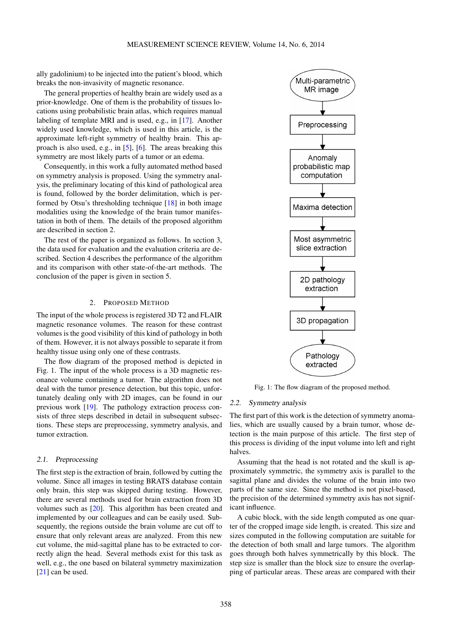ally gadolinium) to be injected into the patient's blood, which breaks the non-invasivity of magnetic resonance.

The general properties of healthy brain are widely used as a prior-knowledge. One of them is the probability of tissues locations using probabilistic brain atlas, which requires manual labeling of template MRI and is used, e.g., in [\[17\]](#page-7-0). Another widely used knowledge, which is used in this article, is the approximate left-right symmetry of healthy brain. This approach is also used, e.g., in [\[5\]](#page-6-4), [\[6\]](#page-6-5). The areas breaking this symmetry are most likely parts of a tumor or an edema.

Consequently, in this work a fully automated method based on symmetry analysis is proposed. Using the symmetry analysis, the preliminary locating of this kind of pathological area is found, followed by the border delimitation, which is performed by Otsu's thresholding technique [\[18\]](#page-7-1) in both image modalities using the knowledge of the brain tumor manifestation in both of them. The details of the proposed algorithm are described in section [2.](#page-1-0)

The rest of the paper is organized as follows. In section [3,](#page-3-0) the data used for evaluation and the evaluation criteria are described. Section [4](#page-4-0) describes the performance of the algorithm and its comparison with other state-of-the-art methods. The conclusion of the paper is given in section [5.](#page-6-16)

# 2. PROPOSED METHOD

<span id="page-1-0"></span>The input of the whole process is registered 3D T2 and FLAIR magnetic resonance volumes. The reason for these contrast volumes is the good visibility of this kind of pathology in both of them. However, it is not always possible to separate it from healthy tissue using only one of these contrasts.

The flow diagram of the proposed method is depicted in Fig. [1.](#page-1-1) The input of the whole process is a 3D magnetic resonance volume containing a tumor. The algorithm does not deal with the tumor presence detection, but this topic, unfortunately dealing only with 2D images, can be found in our previous work [\[19\]](#page-7-2). The pathology extraction process consists of three steps described in detail in subsequent subsections. These steps are preprocessing, symmetry analysis, and tumor extraction.

## 2.1. Preprocessing

The first step is the extraction of brain, followed by cutting the volume. Since all images in testing BRATS database contain only brain, this step was skipped during testing. However, there are several methods used for brain extraction from 3D volumes such as [\[20\]](#page-7-3). This algorithm has been created and implemented by our colleagues and can be easily used. Subsequently, the regions outside the brain volume are cut off to ensure that only relevant areas are analyzed. From this new cut volume, the mid-sagittal plane has to be extracted to correctly align the head. Several methods exist for this task as well, e.g., the one based on bilateral symmetry maximization [\[21\]](#page-7-4) can be used.

<span id="page-1-1"></span>

Fig. 1: The flow diagram of the proposed method.

# 2.2. Symmetry analysis

The first part of this work is the detection of symmetry anomalies, which are usually caused by a brain tumor, whose detection is the main purpose of this article. The first step of this process is dividing of the input volume into left and right halves.

Assuming that the head is not rotated and the skull is approximately symmetric, the symmetry axis is parallel to the sagittal plane and divides the volume of the brain into two parts of the same size. Since the method is not pixel-based, the precision of the determined symmetry axis has not significant influence.

A cubic block, with the side length computed as one quarter of the cropped image side length, is created. This size and sizes computed in the following computation are suitable for the detection of both small and large tumors. The algorithm goes through both halves symmetrically by this block. The step size is smaller than the block size to ensure the overlapping of particular areas. These areas are compared with their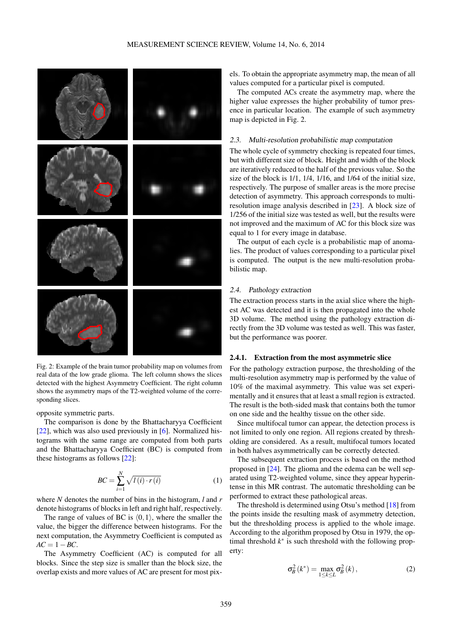<span id="page-2-0"></span>

Fig. 2: Example of the brain tumor probability map on volumes from real data of the low grade glioma. The left column shows the slices detected with the highest Asymmetry Coefficient. The right column shows the asymmetry maps of the T2-weighted volume of the corresponding slices.

opposite symmetric parts.

The comparison is done by the Bhattacharyya Coefficient  $[22]$ , which was also used previously in  $[6]$ . Normalized histograms with the same range are computed from both parts and the Bhattacharyya Coefficient (BC) is computed from these histograms as follows [\[22\]](#page-7-5):

$$
BC = \sum_{i=1}^{N} \sqrt{l(i) \cdot r(i)} \tag{1}
$$

where *N* denotes the number of bins in the histogram, *l* and *r* denote histograms of blocks in left and right half, respectively.

The range of values of BC is  $(0,1)$ , where the smaller the value, the bigger the difference between histograms. For the next computation, the Asymmetry Coefficient is computed as  $AC = 1 - BC$ .

The Asymmetry Coefficient (AC) is computed for all blocks. Since the step size is smaller than the block size, the overlap exists and more values of AC are present for most pixels. To obtain the appropriate asymmetry map, the mean of all values computed for a particular pixel is computed.

The computed ACs create the asymmetry map, where the higher value expresses the higher probability of tumor presence in particular location. The example of such asymmetry map is depicted in Fig. [2.](#page-2-0)

## 2.3. Multi-resolution probabilistic map computation

The whole cycle of symmetry checking is repeated four times, but with different size of block. Height and width of the block are iteratively reduced to the half of the previous value. So the size of the block is 1/1, 1/4, 1/16, and 1/64 of the initial size, respectively. The purpose of smaller areas is the more precise detection of asymmetry. This approach corresponds to multiresolution image analysis described in [\[23\]](#page-7-6). A block size of 1/256 of the initial size was tested as well, but the results were not improved and the maximum of AC for this block size was equal to 1 for every image in database.

The output of each cycle is a probabilistic map of anomalies. The product of values corresponding to a particular pixel is computed. The output is the new multi-resolution probabilistic map.

## 2.4. Pathology extraction

The extraction process starts in the axial slice where the highest AC was detected and it is then propagated into the whole 3D volume. The method using the pathology extraction directly from the 3D volume was tested as well. This was faster, but the performance was poorer.

## 2.4.1. Extraction from the most asymmetric slice

For the pathology extraction purpose, the thresholding of the multi-resolution asymmetry map is performed by the value of 10% of the maximal asymmetry. This value was set experimentally and it ensures that at least a small region is extracted. The result is the both-sided mask that contains both the tumor on one side and the healthy tissue on the other side.

Since multifocal tumor can appear, the detection process is not limited to only one region. All regions created by thresholding are considered. As a result, multifocal tumors located in both halves asymmetrically can be correctly detected.

The subsequent extraction process is based on the method proposed in [\[24\]](#page-7-7). The glioma and the edema can be well separated using T2-weighted volume, since they appear hyperintense in this MR contrast. The automatic thresholding can be performed to extract these pathological areas.

The threshold is determined using Otsu's method [\[18\]](#page-7-1) from the points inside the resulting mask of asymmetry detection, but the thresholding process is applied to the whole image. According to the algorithm proposed by Otsu in 1979, the optimal threshold  $k^*$  is such threshold with the following property:

$$
\sigma_B^2(k^*) = \max_{1 \le k \le L} \sigma_B^2(k), \qquad (2)
$$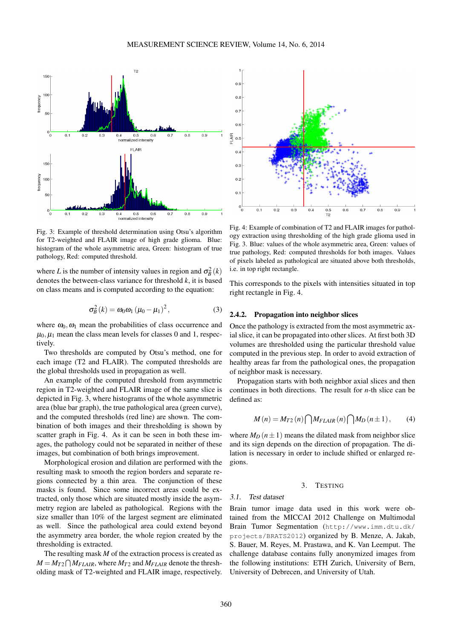<span id="page-3-1"></span>

Fig. 3: Example of threshold determination using Otsu's algorithm for T2-weighted and FLAIR image of high grade glioma. Blue: histogram of the whole asymmetric area, Green: histogram of true pathology, Red: computed threshold.

where *L* is the number of intensity values in region and  $\sigma_B^2(k)$ denotes the between-class variance for threshold *k*, it is based on class means and is computed according to the equation:

$$
\sigma_B^2(k) = \omega_0 \omega_1 (\mu_0 - \mu_1)^2, \qquad (3)
$$

where  $\omega_0$ ,  $\omega_1$  mean the probabilities of class occurrence and  $\mu_0, \mu_1$  mean the class mean levels for classes 0 and 1, respectively.

Two thresholds are computed by Otsu's method, one for each image (T2 and FLAIR). The computed thresholds are the global thresholds used in propagation as well.

An example of the computed threshold from asymmetric region in T2-weighted and FLAIR image of the same slice is depicted in Fig. [3,](#page-3-1) where histograms of the whole asymmetric area (blue bar graph), the true pathological area (green curve), and the computed thresholds (red line) are shown. The combination of both images and their thresholding is shown by scatter graph in Fig. [4.](#page-3-2) As it can be seen in both these images, the pathology could not be separated in neither of these images, but combination of both brings improvement.

Morphological erosion and dilation are performed with the resulting mask to smooth the region borders and separate regions connected by a thin area. The conjunction of these masks is found. Since some incorrect areas could be extracted, only those which are situated mostly inside the asymmetry region are labeled as pathological. Regions with the size smaller than 10% of the largest segment are eliminated as well. Since the pathological area could extend beyond the asymmetry area border, the whole region created by the thresholding is extracted.

The resulting mask *M* of the extraction process is created as  $M = M_{T2} \bigcap M_{FLAIR}$ , where  $M_{T2}$  and  $M_{FLAIR}$  denote the thresholding mask of T2-weighted and FLAIR image, respectively.

<span id="page-3-2"></span>

Fig. 4: Example of combination of T2 and FLAIR images for pathology extraction using thresholding of the high grade glioma used in Fig. [3.](#page-3-1) Blue: values of the whole asymmetric area, Green: values of true pathology, Red: computed thresholds for both images. Values of pixels labeled as pathological are situated above both thresholds, i.e. in top right rectangle.

This corresponds to the pixels with intensities situated in top right rectangle in Fig. [4.](#page-3-2)

## 2.4.2. Propagation into neighbor slices

Once the pathology is extracted from the most asymmetric axial slice, it can be propagated into other slices. At first both 3D volumes are thresholded using the particular threshold value computed in the previous step. In order to avoid extraction of healthy areas far from the pathological ones, the propagation of neighbor mask is necessary.

Propagation starts with both neighbor axial slices and then continues in both directions. The result for *n*-th slice can be defined as:

$$
M(n) = M_{T2}(n) \bigcap M_{FLAIR}(n) \bigcap M_D(n \pm 1), \qquad (4)
$$

where  $M_D(n \pm 1)$  means the dilated mask from neighbor slice and its sign depends on the direction of propagation. The dilation is necessary in order to include shifted or enlarged regions.

## 3. TESTING

#### <span id="page-3-0"></span>3.1. Test dataset

Brain tumor image data used in this work were obtained from the MICCAI 2012 Challenge on Multimodal Brain Tumor Segmentation ([http://www.imm.dtu.dk/](http://www.imm.dtu.dk/projects/BRATS2012) [projects/BRATS2012](http://www.imm.dtu.dk/projects/BRATS2012)) organized by B. Menze, A. Jakab, S. Bauer, M. Reyes, M. Prastawa, and K. Van Leemput. The challenge database contains fully anonymized images from the following institutions: ETH Zurich, University of Bern, University of Debrecen, and University of Utah.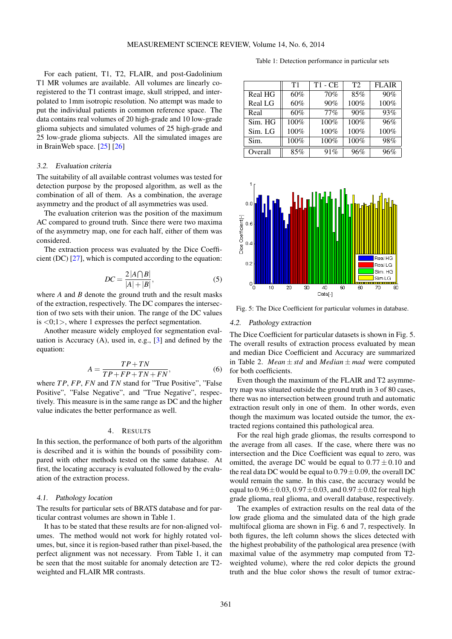For each patient, T1, T2, FLAIR, and post-Gadolinium T1 MR volumes are available. All volumes are linearly coregistered to the T1 contrast image, skull stripped, and interpolated to 1mm isotropic resolution. No attempt was made to put the individual patients in common reference space. The data contains real volumes of 20 high-grade and 10 low-grade glioma subjects and simulated volumes of 25 high-grade and 25 low-grade glioma subjects. All the simulated images are in BrainWeb space. [\[25\]](#page-7-8) [\[26\]](#page-7-9)

## 3.2. Evaluation criteria

The suitability of all available contrast volumes was tested for detection purpose by the proposed algorithm, as well as the combination of all of them. As a combination, the average asymmetry and the product of all asymmetries was used.

The evaluation criterion was the position of the maximum AC compared to ground truth. Since there were two maxima of the asymmetry map, one for each half, either of them was considered.

The extraction process was evaluated by the Dice Coefficient (DC) [\[27\]](#page-7-10), which is computed according to the equation:

$$
DC = \frac{2|A \bigcap B|}{|A| + |B|},\tag{5}
$$

where *A* and *B* denote the ground truth and the result masks of the extraction, respectively. The DC compares the intersection of two sets with their union. The range of the DC values is  $\langle 0; 1 \rangle$ , where 1 expresses the perfect segmentation.

Another measure widely employed for segmentation evaluation is Accuracy (A), used in, e.g., [\[3\]](#page-6-2) and defined by the equation:

$$
A = \frac{TP + TN}{TP + FP + TN + FN},\tag{6}
$$

where *T P*, *FP*, *FN* and *TN* stand for "True Positive", "False Positive", "False Negative", and "True Negative", respectively. This measure is in the same range as DC and the higher value indicates the better performance as well.

## 4. RESULTS

<span id="page-4-0"></span>In this section, the performance of both parts of the algorithm is described and it is within the bounds of possibility compared with other methods tested on the same database. At first, the locating accuracy is evaluated followed by the evaluation of the extraction process.

#### 4.1. Pathology location

The results for particular sets of BRATS database and for particular contrast volumes are shown in Table [1.](#page-4-1)

It has to be stated that these results are for non-aligned volumes. The method would not work for highly rotated volumes, but, since it is region-based rather than pixel-based, the perfect alignment was not necessary. From Table [1,](#page-4-1) it can be seen that the most suitable for anomaly detection are T2 weighted and FLAIR MR contrasts.

Table 1: Detection performance in particular sets

<span id="page-4-1"></span>

|         | T1   | $T1 - CE$ | T2   | <b>FLAIR</b> |
|---------|------|-----------|------|--------------|
| Real HG | 60%  | 70%       | 85%  | 90%          |
| Real LG | 60%  | 90%       | 100% | 100%         |
| Real    | 60%  | $77\%$    | 90%  | 93%          |
| Sim. HG | 100% | 100%      | 100% | 96%          |
| Sim. LG | 100% | 100%      | 100% | 100%         |
| Sim.    | 100% | 100%      | 100% | 98%          |
| Overall | 85%  | 91%       | 96%  | 96%          |

<span id="page-4-2"></span>

Fig. 5: The Dice Coefficient for particular volumes in database.

#### 4.2. Pathology extraction

The Dice Coefficient for particular datasets is shown in Fig. [5.](#page-4-2) The overall results of extraction process evaluated by mean and median Dice Coefficient and Accuracy are summarized in Table [2.](#page-5-0) *Mean*  $\pm$  *std* and *Median*  $\pm$  *mad* were computed for both coefficients.

Even though the maximum of the FLAIR and T2 asymmetry map was situated outside the ground truth in 3 of 80 cases, there was no intersection between ground truth and automatic extraction result only in one of them. In other words, even though the maximum was located outside the tumor, the extracted regions contained this pathological area.

For the real high grade gliomas, the results correspond to the average from all cases. If the case, where there was no intersection and the Dice Coefficient was equal to zero, was omitted, the average DC would be equal to  $0.77 \pm 0.10$  and the real data DC would be equal to  $0.79 \pm 0.09$ , the overall DC would remain the same. In this case, the accuracy would be equal to  $0.96 \pm 0.03$ ,  $0.97 \pm 0.03$ , and  $0.97 \pm 0.02$  for real high grade glioma, real glioma, and overall database, respectively.

The examples of extraction results on the real data of the low grade glioma and the simulated data of the high grade multifocal glioma are shown in Fig. [6](#page-5-1) and [7,](#page-5-2) respectively. In both figures, the left column shows the slices detected with the highest probability of the pathological area presence (with maximal value of the asymmetry map computed from T2 weighted volume), where the red color depicts the ground truth and the blue color shows the result of tumor extrac-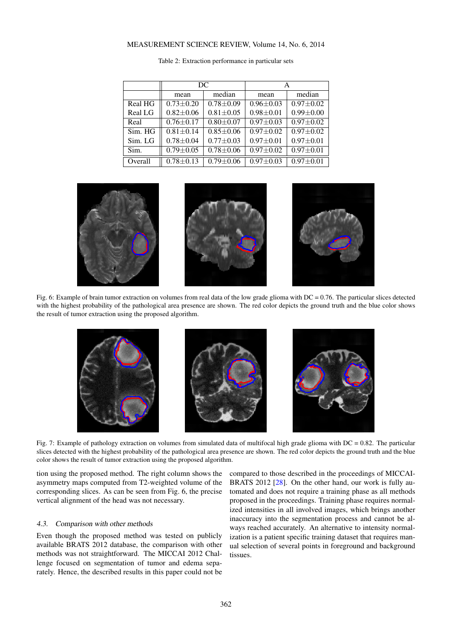# MEASUREMENT SCIENCE REVIEW, Volume 14, No. 6, 2014

<span id="page-5-0"></span>

|         | DC              |               |                 |                 |  |
|---------|-----------------|---------------|-----------------|-----------------|--|
|         | mean            | median        | mean            | median          |  |
| Real HG | $0.73 + 0.20$   | $0.78 + 0.09$ | $0.96 + 0.03$   | $0.97 + 0.02$   |  |
| Real LG | $0.82 \pm 0.06$ | $0.81 + 0.05$ | $0.98 \pm 0.01$ | $0.99 \pm 0.00$ |  |
| Real    | $0.76 + 0.17$   | $0.80 + 0.07$ | $0.97 + 0.03$   | $0.97 + 0.02$   |  |
| Sim. HG | $0.81 \pm 0.14$ | $0.85 + 0.06$ | $0.97 + 0.02$   | $0.97 + 0.02$   |  |
| Sim. LG | $0.78 + 0.04$   | $0.77 + 0.03$ | $0.97 + 0.01$   | $0.97 + 0.01$   |  |
| Sim.    | $0.79 \pm 0.05$ | $0.78 + 0.06$ | $0.97 + 0.02$   | $0.97 + 0.01$   |  |
| Overall | $0.78 \pm 0.13$ | $0.79 + 0.06$ | $0.97 + 0.03$   | $0.97 \pm 0.01$ |  |

|  | Table 2: Extraction performance in particular sets |  |  |
|--|----------------------------------------------------|--|--|
|  |                                                    |  |  |

<span id="page-5-1"></span>

Fig. 6: Example of brain tumor extraction on volumes from real data of the low grade glioma with DC = 0.76. The particular slices detected with the highest probability of the pathological area presence are shown. The red color depicts the ground truth and the blue color shows the result of tumor extraction using the proposed algorithm.

<span id="page-5-2"></span>

Fig. 7: Example of pathology extraction on volumes from simulated data of multifocal high grade glioma with  $DC = 0.82$ . The particular slices detected with the highest probability of the pathological area presence are shown. The red color depicts the ground truth and the blue color shows the result of tumor extraction using the proposed algorithm.

tion using the proposed method. The right column shows the asymmetry maps computed from T2-weighted volume of the corresponding slices. As can be seen from Fig. [6,](#page-5-1) the precise vertical alignment of the head was not necessary.

## 4.3. Comparison with other methods

Even though the proposed method was tested on publicly available BRATS 2012 database, the comparison with other methods was not straightforward. The MICCAI 2012 Challenge focused on segmentation of tumor and edema separately. Hence, the described results in this paper could not be

compared to those described in the proceedings of MICCAI-BRATS 2012 [\[28\]](#page-7-11). On the other hand, our work is fully automated and does not require a training phase as all methods proposed in the proceedings. Training phase requires normalized intensities in all involved images, which brings another inaccuracy into the segmentation process and cannot be always reached accurately. An alternative to intensity normalization is a patient specific training dataset that requires manual selection of several points in foreground and background tissues.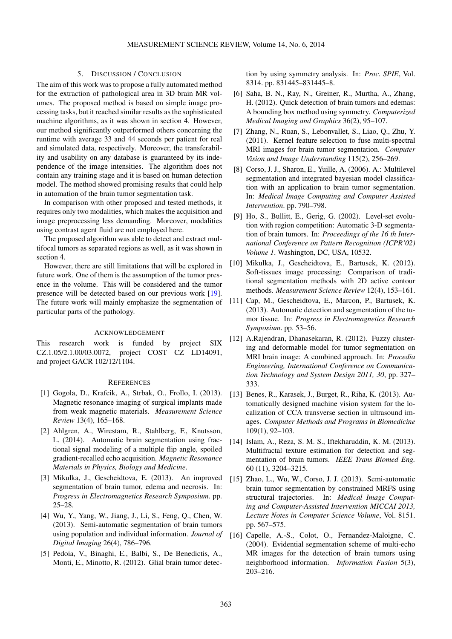# 5. DISCUSSION / CONCLUSION

<span id="page-6-16"></span>The aim of this work was to propose a fully automated method for the extraction of pathological area in 3D brain MR volumes. The proposed method is based on simple image processing tasks, but it reached similar results as the sophisticated machine algorithms, as it was shown in section [4.](#page-4-0) However, our method significantly outperformed others concerning the runtime with average 33 and 44 seconds per patient for real and simulated data, respectively. Moreover, the transferability and usability on any database is guaranteed by its independence of the image intensities. The algorithm does not contain any training stage and it is based on human detection model. The method showed promising results that could help in automation of the brain tumor segmentation task.

In comparison with other proposed and tested methods, it requires only two modalities, which makes the acquisition and image preprocessing less demanding. Moreover, modalities using contrast agent fluid are not employed here.

The proposed algorithm was able to detect and extract multifocal tumors as separated regions as well, as it was shown in section [4.](#page-4-0)

However, there are still limitations that will be explored in future work. One of them is the assumption of the tumor presence in the volume. This will be considered and the tumor presence will be detected based on our previous work [\[19\]](#page-7-2). The future work will mainly emphasize the segmentation of particular parts of the pathology.

## ACKNOWLEDGEMENT

This research work is funded by project SIX CZ.1.05/2.1.00/03.0072, project COST CZ LD14091, and project GACR 102/12/1104.

#### **REFERENCES**

- <span id="page-6-0"></span>[1] Gogola, D., Krafcik, A., Strbak, O., Frollo, I. (2013). Magnetic resonance imaging of surgical implants made from weak magnetic materials. *Measurement Science Review* 13(4), 165–168.
- <span id="page-6-1"></span>[2] Ahlgren, A., Wirestam, R., Stahlberg, F., Knutsson, L. (2014). Automatic brain segmentation using fractional signal modeling of a multiple flip angle, spoiled gradient-recalled echo acquisition. *Magnetic Resonance Materials in Physics, Biology and Medicine*.
- <span id="page-6-2"></span>[3] Mikulka, J., Gescheidtova, E. (2013). An improved segmentation of brain tumor, edema and necrosis. In: *Progress in Electromagnetics Research Symposium*. pp. 25–28.
- <span id="page-6-3"></span>[4] Wu, Y., Yang, W., Jiang, J., Li, S., Feng, Q., Chen, W. (2013). Semi-automatic segmentation of brain tumors using population and individual information. *Journal of Digital Imaging* 26(4), 786–796.
- <span id="page-6-4"></span>[5] Pedoia, V., Binaghi, E., Balbi, S., De Benedictis, A., Monti, E., Minotto, R. (2012). Glial brain tumor detec-

tion by using symmetry analysis. In: *Proc. SPIE*, Vol. 8314. pp. 831445–831445–8.

- <span id="page-6-5"></span>[6] Saha, B. N., Ray, N., Greiner, R., Murtha, A., Zhang, H. (2012). Quick detection of brain tumors and edemas: A bounding box method using symmetry. *Computerized Medical Imaging and Graphics* 36(2), 95–107.
- <span id="page-6-6"></span>[7] Zhang, N., Ruan, S., Lebonvallet, S., Liao, Q., Zhu, Y. (2011). Kernel feature selection to fuse multi-spectral MRI images for brain tumor segmentation. *Computer Vision and Image Understanding* 115(2), 256–269.
- <span id="page-6-7"></span>[8] Corso, J. J., Sharon, E., Yuille, A. (2006). A.: Multilevel segmentation and integrated bayesian model classification with an application to brain tumor segmentation. In: *Medical Image Computing and Computer Assisted Intervention*. pp. 790–798.
- <span id="page-6-8"></span>[9] Ho, S., Bullitt, E., Gerig, G. (2002). Level-set evolution with region competition: Automatic 3-D segmentation of brain tumors. In: *Proceedings of the 16 th International Conference on Pattern Recognition (ICPR'02) Volume 1*. Washington, DC, USA, 10532.
- <span id="page-6-9"></span>[10] Mikulka, J., Gescheidtova, E., Bartusek, K. (2012). Soft-tissues image processing: Comparison of traditional segmentation methods with 2D active contour methods. *Measurement Science Review* 12(4), 153–161.
- <span id="page-6-10"></span>[11] Cap, M., Gescheidtova, E., Marcon, P., Bartusek, K. (2013). Automatic detection and segmentation of the tumor tissue. In: *Progress in Electromagnetics Research Symposium*. pp. 53–56.
- <span id="page-6-11"></span>[12] A.Rajendran, Dhanasekaran, R. (2012). Fuzzy clustering and deformable model for tumor segmentation on MRI brain image: A combined approach. In: *Procedia Engineering, International Conference on Communication Technology and System Design 2011, 30*, pp. 327– 333.
- <span id="page-6-12"></span>[13] Benes, R., Karasek, J., Burget, R., Riha, K. (2013). Automatically designed machine vision system for the localization of CCA transverse section in ultrasound images. *Computer Methods and Programs in Biomedicine* 109(1), 92–103.
- <span id="page-6-13"></span>[14] Islam, A., Reza, S. M. S., Iftekharuddin, K. M. (2013). Multifractal texture estimation for detection and segmentation of brain tumors. *IEEE Trans Biomed Eng.* 60 (11), 3204–3215.
- <span id="page-6-14"></span>[15] Zhao, L., Wu, W., Corso, J. J. (2013). Semi-automatic brain tumor segmentation by constrained MRFS using structural trajectories. In: *Medical Image Computing and Computer-Assisted Intervention MICCAI 2013, Lecture Notes in Computer Science Volume*, Vol. 8151. pp. 567–575.
- <span id="page-6-15"></span>[16] Capelle, A.-S., Colot, O., Fernandez-Maloigne, C. (2004). Evidential segmentation scheme of multi-echo MR images for the detection of brain tumors using neighborhood information. *Information Fusion* 5(3), 203–216.